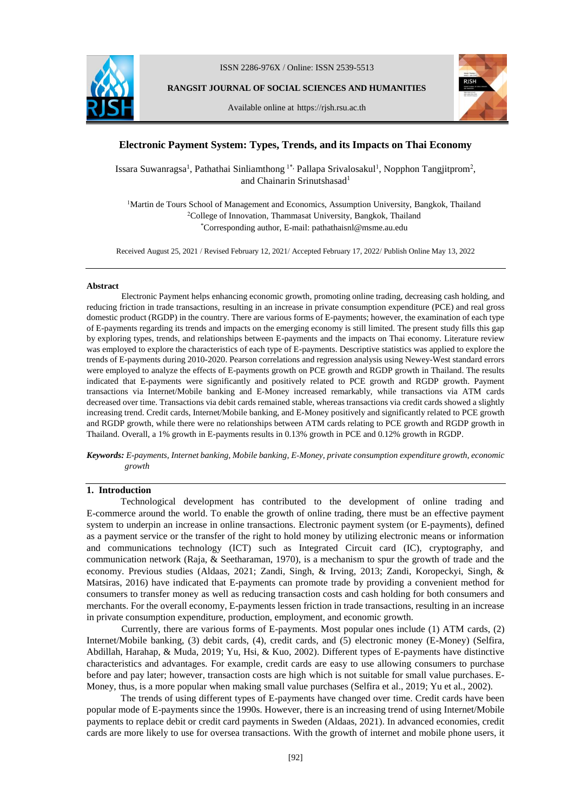

ISSN 2286-976X / Online: ISSN 2539-5513

**RANGSIT JOURNAL OF SOCIAL SCIENCES AND HUMANITIES**

Available online at https://rjsh.rsu.ac.th



# **Electronic Payment System: Types, Trends, and its Impacts on Thai Economy**

Issara Suwanragsa<sup>1</sup>, Pathathai Sinliamthong<sup>1\*,</sup> Pallapa Srivalosakul<sup>1</sup>, Nopphon Tangjitprom<sup>2</sup>, and Chainarin Srinutshasad<sup>1</sup>

<sup>1</sup>Martin de Tours School of Management and Economics, Assumption University, Bangkok, Thailand <sup>2</sup>College of Innovation, Thammasat University, Bangkok, Thailand \*Corresponding author, E-mail: pathathaisnl@msme.au.edu

Received August 25, 2021 / Revised February 12, 2021/ Accepted February 17, 2022/ Publish Online May 13, 2022

#### **Abstract**

Electronic Payment helps enhancing economic growth, promoting online trading, decreasing cash holding, and reducing friction in trade transactions, resulting in an increase in private consumption expenditure (PCE) and real gross domestic product (RGDP) in the country. There are various forms of E-payments; however, the examination of each type of E-payments regarding its trends and impacts on the emerging economy is still limited. The present study fills this gap by exploring types, trends, and relationships between E-payments and the impacts on Thai economy. Literature review was employed to explore the characteristics of each type of E-payments. Descriptive statistics was applied to explore the trends of E-payments during 2010-2020. Pearson correlations and regression analysis using Newey-West standard errors were employed to analyze the effects of E-payments growth on PCE growth and RGDP growth in Thailand. The results indicated that E-payments were significantly and positively related to PCE growth and RGDP growth. Payment transactions via Internet/Mobile banking and E-Money increased remarkably, while transactions via ATM cards decreased over time. Transactions via debit cards remained stable, whereas transactions via credit cards showed a slightly increasing trend. Credit cards, Internet/Mobile banking, and E-Money positively and significantly related to PCE growth and RGDP growth, while there were no relationships between ATM cards relating to PCE growth and RGDP growth in Thailand. Overall, a 1% growth in E-payments results in 0.13% growth in PCE and 0.12% growth in RGDP.

*Keywords: E-payments, Internet banking, Mobile banking, E-Money, private consumption expenditure growth, economic growth*

### **1. Introduction**

Technological development has contributed to the development of online trading and E-commerce around the world. To enable the growth of online trading, there must be an effective payment system to underpin an increase in online transactions. Electronic payment system (or E-payments), defined as a payment service or the transfer of the right to hold money by utilizing electronic means or information and communications technology (ICT) such as Integrated Circuit card (IC), cryptography, and communication network (Raja, & Seetharaman, 1970), is a mechanism to spur the growth of trade and the economy. Previous studies (Aldaas, 2021; Zandi, Singh, & Irving, 2013; Zandi, Koropeckyi, Singh, & Matsiras, 2016) have indicated that E-payments can promote trade by providing a convenient method for consumers to transfer money as well as reducing transaction costs and cash holding for both consumers and merchants. For the overall economy, E-payments lessen friction in trade transactions, resulting in an increase in private consumption expenditure, production, employment, and economic growth.

Currently, there are various forms of E-payments. Most popular ones include (1) ATM cards, (2) Internet/Mobile banking, (3) debit cards, (4), credit cards, and (5) electronic money (E-Money) (Selfira, Abdillah, Harahap, & Muda, 2019; Yu, Hsi, & Kuo, 2002). Different types of E-payments have distinctive characteristics and advantages. For example, credit cards are easy to use allowing consumers to purchase before and pay later; however, transaction costs are high which is not suitable for small value purchases. E-Money, thus, is a more popular when making small value purchases (Selfira et al., 2019; Yu et al., 2002).

The trends of using different types of E-payments have changed over time. Credit cards have been popular mode of E-payments since the 1990s. However, there is an increasing trend of using Internet/Mobile payments to replace debit or credit card payments in Sweden (Aldaas, 2021). In advanced economies, credit cards are more likely to use for oversea transactions. With the growth of internet and mobile phone users, it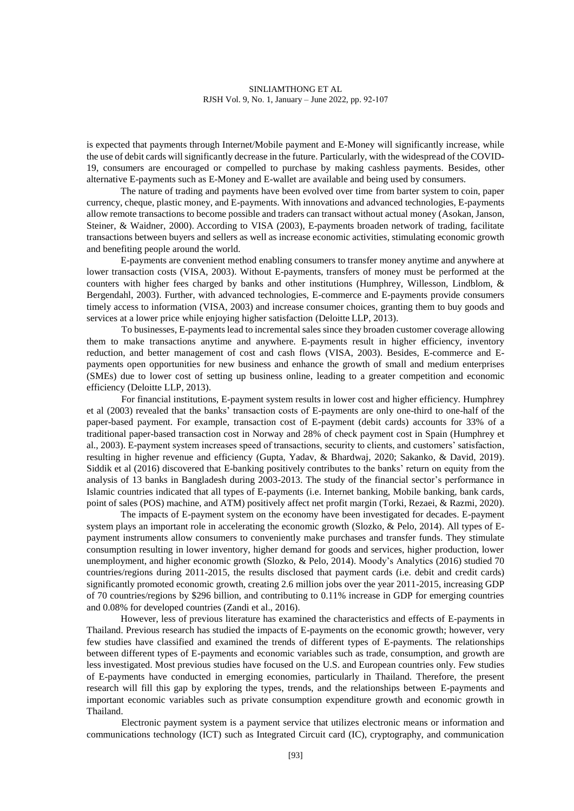is expected that payments through Internet/Mobile payment and E-Money will significantly increase, while the use of debit cards will significantly decrease in the future. Particularly, with the widespread of the COVID-19, consumers are encouraged or compelled to purchase by making cashless payments. Besides, other alternative E-payments such as E-Money and E-wallet are available and being used by consumers.

The nature of trading and payments have been evolved over time from barter system to coin, paper currency, cheque, plastic money, and E-payments. With innovations and advanced technologies, E-payments allow remote transactions to become possible and traders can transact without actual money (Asokan, Janson, Steiner, & Waidner, 2000). According to VISA (2003), E-payments broaden network of trading, facilitate transactions between buyers and sellers as well as increase economic activities, stimulating economic growth and benefiting people around the world.

E-payments are convenient method enabling consumers to transfer money anytime and anywhere at lower transaction costs (VISA, 2003). Without E-payments, transfers of money must be performed at the counters with higher fees charged by banks and other institutions (Humphrey, Willesson, Lindblom, & Bergendahl, 2003). Further, with advanced technologies, E-commerce and E-payments provide consumers timely access to information (VISA, 2003) and increase consumer choices, granting them to buy goods and services at a lower price while enjoying higher satisfaction (Deloitte LLP, 2013).

To businesses, E-payments lead to incremental sales since they broaden customer coverage allowing them to make transactions anytime and anywhere. E-payments result in higher efficiency, inventory reduction, and better management of cost and cash flows (VISA, 2003). Besides, E-commerce and Epayments open opportunities for new business and enhance the growth of small and medium enterprises (SMEs) due to lower cost of setting up business online, leading to a greater competition and economic efficiency (Deloitte LLP, 2013).

For financial institutions, E-payment system results in lower cost and higher efficiency. Humphrey et al (2003) revealed that the banks' transaction costs of E-payments are only one-third to one-half of the paper-based payment. For example, transaction cost of E-payment (debit cards) accounts for 33% of a traditional paper-based transaction cost in Norway and 28% of check payment cost in Spain (Humphrey et al., 2003). E-payment system increases speed of transactions, security to clients, and customers' satisfaction, resulting in higher revenue and efficiency (Gupta, Yadav, & Bhardwaj, 2020; Sakanko, & David, 2019). Siddik et al (2016) discovered that E-banking positively contributes to the banks' return on equity from the analysis of 13 banks in Bangladesh during 2003-2013. The study of the financial sector's performance in Islamic countries indicated that all types of E-payments (i.e. Internet banking, Mobile banking, bank cards, point of sales (POS) machine, and ATM) positively affect net profit margin (Torki, Rezaei, & Razmi, 2020).

The impacts of E-payment system on the economy have been investigated for decades. E-payment system plays an important role in accelerating the economic growth (Slozko, & Pelo, 2014). All types of Epayment instruments allow consumers to conveniently make purchases and transfer funds. They stimulate consumption resulting in lower inventory, higher demand for goods and services, higher production, lower unemployment, and higher economic growth (Slozko, & Pelo, 2014). Moody's Analytics (2016) studied 70 countries/regions during 2011-2015, the results disclosed that payment cards (i.e. debit and credit cards) significantly promoted economic growth, creating 2.6 million jobs over the year 2011-2015, increasing GDP of 70 countries/regions by \$296 billion, and contributing to 0.11% increase in GDP for emerging countries and 0.08% for developed countries (Zandi et al., 2016).

However, less of previous literature has examined the characteristics and effects of E-payments in Thailand. Previous research has studied the impacts of E-payments on the economic growth; however, very few studies have classified and examined the trends of different types of E-payments. The relationships between different types of E-payments and economic variables such as trade, consumption, and growth are less investigated. Most previous studies have focused on the U.S. and European countries only. Few studies of E-payments have conducted in emerging economies, particularly in Thailand. Therefore, the present research will fill this gap by exploring the types, trends, and the relationships between E-payments and important economic variables such as private consumption expenditure growth and economic growth in Thailand.

Electronic payment system is a payment service that utilizes electronic means or information and communications technology (ICT) such as Integrated Circuit card (IC), cryptography, and communication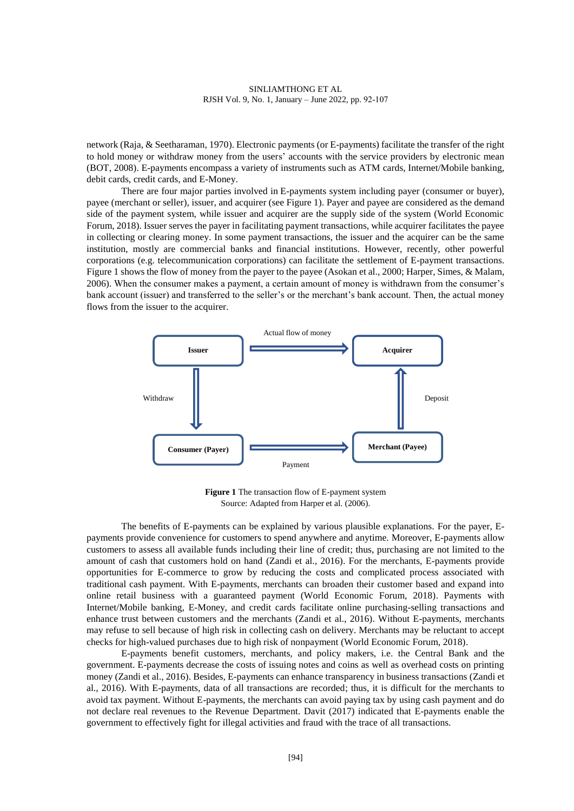network (Raja, & Seetharaman, 1970). Electronic payments (or E-payments) facilitate the transfer of the right to hold money or withdraw money from the users' accounts with the service providers by electronic mean (BOT, 2008). E-payments encompass a variety of instruments such as ATM cards, Internet/Mobile banking, debit cards, credit cards, and E-Money.

There are four major parties involved in E-payments system including payer (consumer or buyer), payee (merchant or seller), issuer, and acquirer (see Figure 1). Payer and payee are considered as the demand side of the payment system, while issuer and acquirer are the supply side of the system (World Economic Forum, 2018). Issuer serves the payer in facilitating payment transactions, while acquirer facilitates the payee in collecting or clearing money. In some payment transactions, the issuer and the acquirer can be the same institution, mostly are commercial banks and financial institutions. However, recently, other powerful corporations (e.g. telecommunication corporations) can facilitate the settlement of E-payment transactions. Figure 1 shows the flow of money from the payer to the payee (Asokan et al., 2000; Harper, Simes, & Malam, 2006). When the consumer makes a payment, a certain amount of money is withdrawn from the consumer's bank account (issuer) and transferred to the seller's or the merchant's bank account. Then, the actual money flows from the issuer to the acquirer.



**Figure 1** The transaction flow of E-payment system Source: Adapted from Harper et al. (2006).

The benefits of E-payments can be explained by various plausible explanations. For the payer, Epayments provide convenience for customers to spend anywhere and anytime. Moreover, E-payments allow customers to assess all available funds including their line of credit; thus, purchasing are not limited to the amount of cash that customers hold on hand (Zandi et al., 2016). For the merchants, E-payments provide opportunities for E-commerce to grow by reducing the costs and complicated process associated with traditional cash payment. With E-payments, merchants can broaden their customer based and expand into online retail business with a guaranteed payment (World Economic Forum, 2018). Payments with Internet/Mobile banking, E-Money, and credit cards facilitate online purchasing-selling transactions and enhance trust between customers and the merchants (Zandi et al., 2016). Without E-payments, merchants may refuse to sell because of high risk in collecting cash on delivery. Merchants may be reluctant to accept checks for high-valued purchases due to high risk of nonpayment (World Economic Forum, 2018).

E-payments benefit customers, merchants, and policy makers, i.e. the Central Bank and the government. E-payments decrease the costs of issuing notes and coins as well as overhead costs on printing money (Zandi et al., 2016). Besides, E-payments can enhance transparency in business transactions (Zandi et al., 2016). With E-payments, data of all transactions are recorded; thus, it is difficult for the merchants to avoid tax payment. Without E-payments, the merchants can avoid paying tax by using cash payment and do not declare real revenues to the Revenue Department. Davit (2017) indicated that E-payments enable the government to effectively fight for illegal activities and fraud with the trace of all transactions.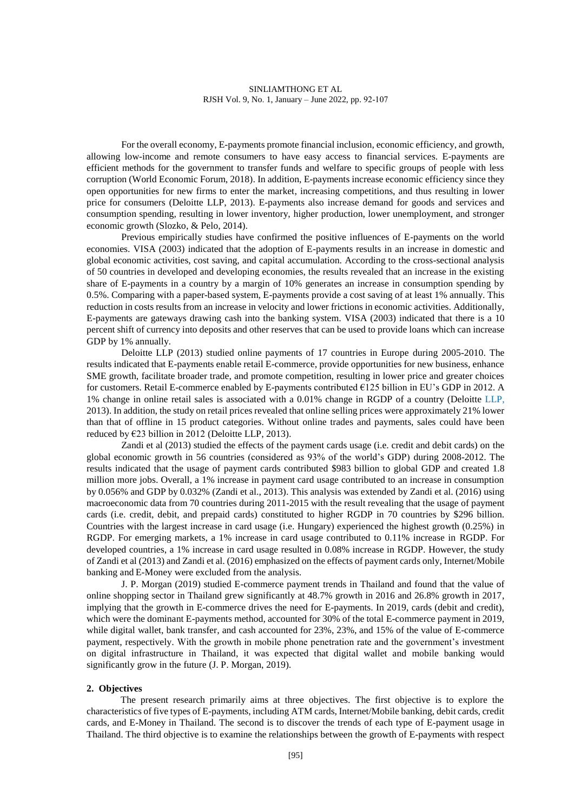For the overall economy, E-payments promote financial inclusion, economic efficiency, and growth, allowing low-income and remote consumers to have easy access to financial services. E-payments are efficient methods for the government to transfer funds and welfare to specific groups of people with less corruption (World Economic Forum, 2018). In addition, E-payments increase economic efficiency since they open opportunities for new firms to enter the market, increasing competitions, and thus resulting in lower price for consumers (Deloitte LLP, 2013). E-payments also increase demand for goods and services and consumption spending, resulting in lower inventory, higher production, lower unemployment, and stronger economic growth (Slozko, & Pelo, 2014).

Previous empirically studies have confirmed the positive influences of E-payments on the world economies. VISA (2003) indicated that the adoption of E-payments results in an increase in domestic and global economic activities, cost saving, and capital accumulation. According to the cross-sectional analysis of 50 countries in developed and developing economies, the results revealed that an increase in the existing share of E-payments in a country by a margin of 10% generates an increase in consumption spending by 0.5%. Comparing with a paper-based system, E-payments provide a cost saving of at least 1% annually. This reduction in costs results from an increase in velocity and lower frictions in economic activities. Additionally, E-payments are gateways drawing cash into the banking system. VISA (2003) indicated that there is a 10 percent shift of currency into deposits and other reserves that can be used to provide loans which can increase GDP by 1% annually.

Deloitte LLP (2013) studied online payments of 17 countries in Europe during 2005-2010. The results indicated that E-payments enable retail E-commerce, provide opportunities for new business, enhance SME growth, facilitate broader trade, and promote competition, resulting in lower price and greater choices for customers. Retail E-commerce enabled by E-payments contributed €125 billion in EU's GDP in 2012. A 1% change in online retail sales is associated with a 0.01% change in RGDP of a country (Deloitte LLP, 2013). In addition, the study on retail prices revealed that online selling prices were approximately 21% lower than that of offline in 15 product categories. Without online trades and payments, sales could have been reduced by  $E23$  billion in 2012 (Deloitte LLP, 2013).

Zandi et al (2013) studied the effects of the payment cards usage (i.e. credit and debit cards) on the global economic growth in 56 countries (considered as 93% of the world's GDP) during 2008-2012. The results indicated that the usage of payment cards contributed \$983 billion to global GDP and created 1.8 million more jobs. Overall, a 1% increase in payment card usage contributed to an increase in consumption by 0.056% and GDP by 0.032% (Zandi et al., 2013). This analysis was extended by Zandi et al. (2016) using macroeconomic data from 70 countries during 2011-2015 with the result revealing that the usage of payment cards (i.e. credit, debit, and prepaid cards) constituted to higher RGDP in 70 countries by \$296 billion. Countries with the largest increase in card usage (i.e. Hungary) experienced the highest growth (0.25%) in RGDP. For emerging markets, a 1% increase in card usage contributed to 0.11% increase in RGDP. For developed countries, a 1% increase in card usage resulted in 0.08% increase in RGDP. However, the study of Zandi et al (2013) and Zandi et al. (2016) emphasized on the effects of payment cards only, Internet/Mobile banking and E-Money were excluded from the analysis.

J. P. Morgan (2019) studied E-commerce payment trends in Thailand and found that the value of online shopping sector in Thailand grew significantly at 48.7% growth in 2016 and 26.8% growth in 2017, implying that the growth in E-commerce drives the need for E-payments. In 2019, cards (debit and credit), which were the dominant E-payments method, accounted for 30% of the total E-commerce payment in 2019, while digital wallet, bank transfer, and cash accounted for  $23\%$ ,  $23\%$ , and  $15\%$  of the value of E-commerce payment, respectively. With the growth in mobile phone penetration rate and the government's investment on digital infrastructure in Thailand, it was expected that digital wallet and mobile banking would significantly grow in the future (J. P. Morgan, 2019).

### **2. Objectives**

The present research primarily aims at three objectives. The first objective is to explore the characteristics of five types of E-payments, including ATM cards, Internet/Mobile banking, debit cards, credit cards, and E-Money in Thailand. The second is to discover the trends of each type of E-payment usage in Thailand. The third objective is to examine the relationships between the growth of E-payments with respect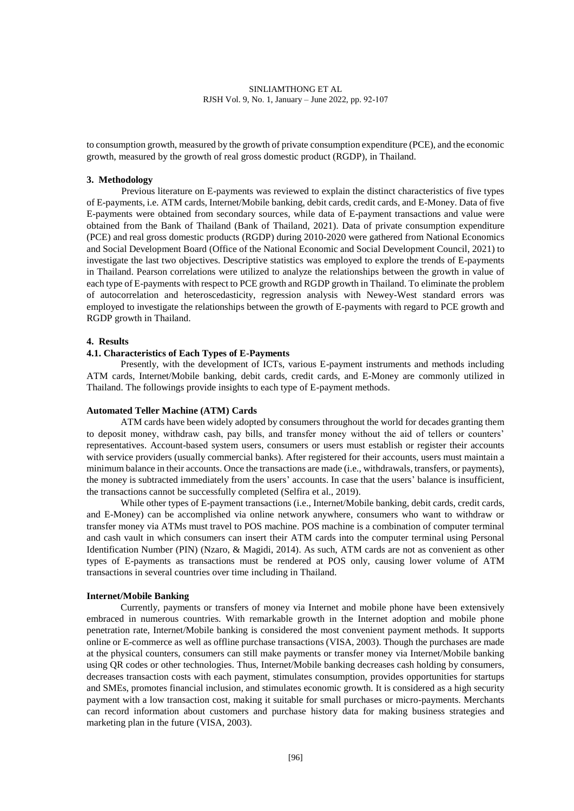to consumption growth, measured by the growth of private consumption expenditure (PCE), and the economic growth, measured by the growth of real gross domestic product (RGDP), in Thailand.

#### **3. Methodology**

Previous literature on E-payments was reviewed to explain the distinct characteristics of five types of E-payments, i.e. ATM cards, Internet/Mobile banking, debit cards, credit cards, and E-Money. Data of five E-payments were obtained from secondary sources, while data of E-payment transactions and value were obtained from the Bank of Thailand (Bank of Thailand, 2021). Data of private consumption expenditure (PCE) and real gross domestic products (RGDP) during 2010-2020 were gathered from National Economics and Social Development Board (Office of the National Economic and Social Development Council, 2021) to investigate the last two objectives. Descriptive statistics was employed to explore the trends of E-payments in Thailand. Pearson correlations were utilized to analyze the relationships between the growth in value of each type of E-payments with respect to PCE growth and RGDP growth in Thailand. To eliminate the problem of autocorrelation and heteroscedasticity, regression analysis with Newey-West standard errors was employed to investigate the relationships between the growth of E-payments with regard to PCE growth and RGDP growth in Thailand.

## **4. Results**

## **4.1. Characteristics of Each Types of E-Payments**

Presently, with the development of ICTs, various E-payment instruments and methods including ATM cards, Internet/Mobile banking, debit cards, credit cards, and E-Money are commonly utilized in Thailand. The followings provide insights to each type of E-payment methods.

#### **Automated Teller Machine (ATM) Cards**

ATM cards have been widely adopted by consumers throughout the world for decades granting them to deposit money, withdraw cash, pay bills, and transfer money without the aid of tellers or counters' representatives. Account-based system users, consumers or users must establish or register their accounts with service providers (usually commercial banks). After registered for their accounts, users must maintain a minimum balance in their accounts. Once the transactions are made (i.e., withdrawals, transfers, or payments), the money is subtracted immediately from the users' accounts. In case that the users' balance is insufficient, the transactions cannot be successfully completed (Selfira et al., 2019).

While other types of E-payment transactions (i.e., Internet/Mobile banking, debit cards, credit cards, and E-Money) can be accomplished via online network anywhere, consumers who want to withdraw or transfer money via ATMs must travel to POS machine. POS machine is a combination of computer terminal and cash vault in which consumers can insert their ATM cards into the computer terminal using Personal Identification Number (PIN) (Nzaro, & Magidi, 2014). As such, ATM cards are not as convenient as other types of E-payments as transactions must be rendered at POS only, causing lower volume of ATM transactions in several countries over time including in Thailand.

### **Internet/Mobile Banking**

Currently, payments or transfers of money via Internet and mobile phone have been extensively embraced in numerous countries. With remarkable growth in the Internet adoption and mobile phone penetration rate, Internet/Mobile banking is considered the most convenient payment methods. It supports online or E-commerce as well as offline purchase transactions (VISA, 2003). Though the purchases are made at the physical counters, consumers can still make payments or transfer money via Internet/Mobile banking using QR codes or other technologies. Thus, Internet/Mobile banking decreases cash holding by consumers, decreases transaction costs with each payment, stimulates consumption, provides opportunities for startups and SMEs, promotes financial inclusion, and stimulates economic growth. It is considered as a high security payment with a low transaction cost, making it suitable for small purchases or micro-payments. Merchants can record information about customers and purchase history data for making business strategies and marketing plan in the future (VISA, 2003).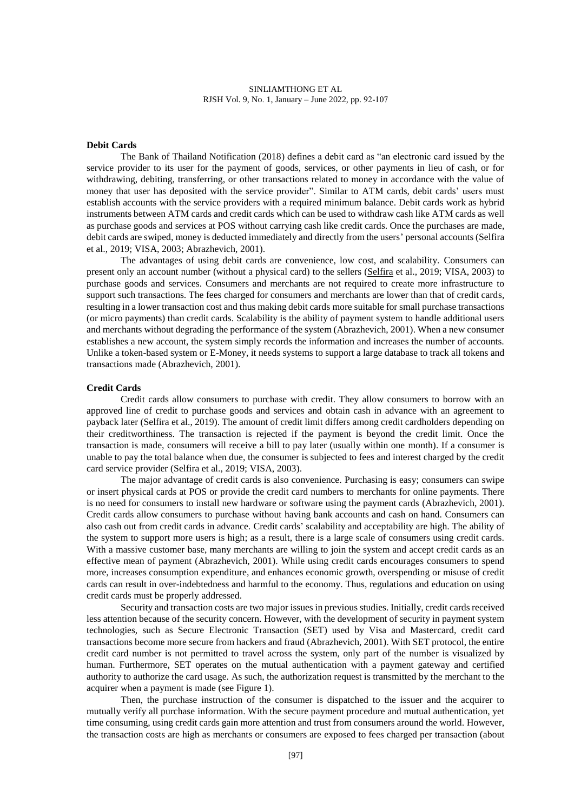### **Debit Cards**

The Bank of Thailand Notification (2018) defines a debit card as "an electronic card issued by the service provider to its user for the payment of goods, services, or other payments in lieu of cash, or for withdrawing, debiting, transferring, or other transactions related to money in accordance with the value of money that user has deposited with the service provider". Similar to ATM cards, debit cards' users must establish accounts with the service providers with a required minimum balance. Debit cards work as hybrid instruments between ATM cards and credit cards which can be used to withdraw cash like ATM cards as well as purchase goods and services at POS without carrying cash like credit cards. Once the purchases are made, debit cards are swiped, money is deducted immediately and directly from the users' personal accounts (Selfira et al., 2019; VISA, 2003; Abrazhevich, 2001).

The advantages of using debit cards are convenience, low cost, and scalability. Consumers can present only an account number (without a physical card) to the sellers [\(Selfira](https://www.researchgate.net/scientific-contributions/Selfira-2162263464) et al., 2019; VISA, 2003) to purchase goods and services. Consumers and merchants are not required to create more infrastructure to support such transactions. The fees charged for consumers and merchants are lower than that of credit cards, resulting in a lower transaction cost and thus making debit cards more suitable for small purchase transactions (or micro payments) than credit cards. Scalability is the ability of payment system to handle additional users and merchants without degrading the performance of the system (Abrazhevich, 2001). When a new consumer establishes a new account, the system simply records the information and increases the number of accounts. Unlike a token-based system or E-Money, it needs systems to support a large database to track all tokens and transactions made (Abrazhevich, 2001).

#### **Credit Cards**

Credit cards allow consumers to purchase with credit. They allow consumers to borrow with an approved line of credit to purchase goods and services and obtain cash in advance with an agreement to payback later (Selfira et al., 2019). The amount of credit limit differs among credit cardholders depending on their creditworthiness. The transaction is rejected if the payment is beyond the credit limit. Once the transaction is made, consumers will receive a bill to pay later (usually within one month). If a consumer is unable to pay the total balance when due, the consumer is subjected to fees and interest charged by the credit card service provider (Selfira et al., 2019; VISA, 2003).

The major advantage of credit cards is also convenience. Purchasing is easy; consumers can swipe or insert physical cards at POS or provide the credit card numbers to merchants for online payments. There is no need for consumers to install new hardware or software using the payment cards (Abrazhevich, 2001). Credit cards allow consumers to purchase without having bank accounts and cash on hand. Consumers can also cash out from credit cards in advance. Credit cards' scalability and acceptability are high. The ability of the system to support more users is high; as a result, there is a large scale of consumers using credit cards. With a massive customer base, many merchants are willing to join the system and accept credit cards as an effective mean of payment (Abrazhevich, 2001). While using credit cards encourages consumers to spend more, increases consumption expenditure, and enhances economic growth, overspending or misuse of credit cards can result in over-indebtedness and harmful to the economy. Thus, regulations and education on using credit cards must be properly addressed.

Security and transaction costs are two major issues in previous studies. Initially, credit cards received less attention because of the security concern. However, with the development of security in payment system technologies, such as Secure Electronic Transaction (SET) used by Visa and Mastercard, credit card transactions become more secure from hackers and fraud (Abrazhevich, 2001). With SET protocol, the entire credit card number is not permitted to travel across the system, only part of the number is visualized by human. Furthermore, SET operates on the mutual authentication with a payment gateway and certified authority to authorize the card usage. As such, the authorization request is transmitted by the merchant to the acquirer when a payment is made (see Figure 1).

Then, the purchase instruction of the consumer is dispatched to the issuer and the acquirer to mutually verify all purchase information. With the secure payment procedure and mutual authentication, yet time consuming, using credit cards gain more attention and trust from consumers around the world. However, the transaction costs are high as merchants or consumers are exposed to fees charged per transaction (about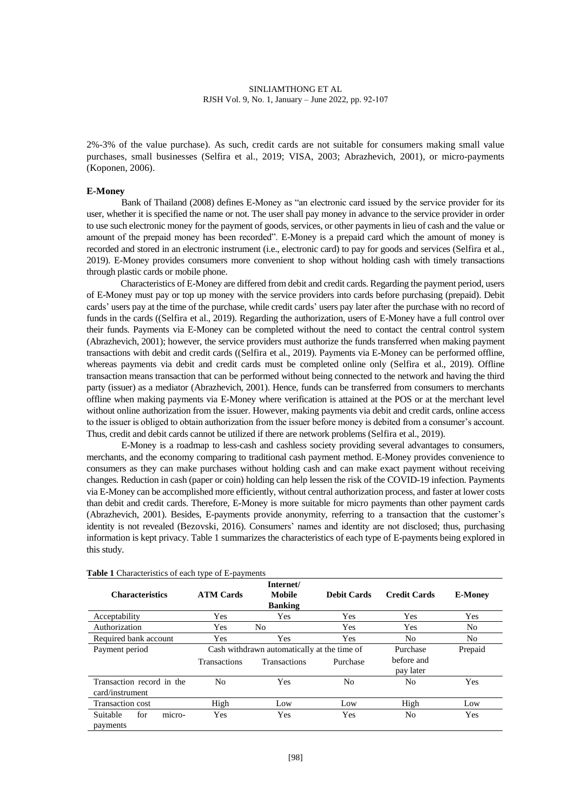2%-3% of the value purchase). As such, credit cards are not suitable for consumers making small value purchases, small businesses (Selfira et al., 2019; VISA, 2003; Abrazhevich, 2001), or micro-payments (Koponen, 2006).

#### **E-Money**

Bank of Thailand (2008) defines E-Money as "an electronic card issued by the service provider for its user, whether it is specified the name or not. The user shall pay money in advance to the service provider in order to use such electronic money for the payment of goods, services, or other payments in lieu of cash and the value or amount of the prepaid money has been recorded". E-Money is a prepaid card which the amount of money is recorded and stored in an electronic instrument (i.e., electronic card) to pay for goods and services (Selfira et al., 2019). E-Money provides consumers more convenient to shop without holding cash with timely transactions through plastic cards or mobile phone.

Characteristics of E-Money are differed from debit and credit cards. Regarding the payment period, users of E-Money must pay or top up money with the service providers into cards before purchasing (prepaid). Debit cards' users pay at the time of the purchase, while credit cards' users pay later after the purchase with no record of funds in the cards ((Selfira et al., 2019). Regarding the authorization, users of E-Money have a full control over their funds. Payments via E-Money can be completed without the need to contact the central control system (Abrazhevich, 2001); however, the service providers must authorize the funds transferred when making payment transactions with debit and credit cards ((Selfira et al., 2019). Payments via E-Money can be performed offline, whereas payments via debit and credit cards must be completed online only (Selfira et al., 2019). Offline transaction means transaction that can be performed without being connected to the network and having the third party (issuer) as a mediator (Abrazhevich, 2001). Hence, funds can be transferred from consumers to merchants offline when making payments via E-Money where verification is attained at the POS or at the merchant level without online authorization from the issuer. However, making payments via debit and credit cards, online access to the issuer is obliged to obtain authorization from the issuer before money is debited from a consumer's account. Thus, credit and debit cards cannot be utilized if there are network problems (Selfira et al., 2019).

E-Money is a roadmap to less-cash and cashless society providing several advantages to consumers, merchants, and the economy comparing to traditional cash payment method. E-Money provides convenience to consumers as they can make purchases without holding cash and can make exact payment without receiving changes. Reduction in cash (paper or coin) holding can help lessen the risk of the COVID-19 infection. Payments via E-Money can be accomplished more efficiently, without central authorization process, and faster at lower costs than debit and credit cards. Therefore, E-Money is more suitable for micro payments than other payment cards (Abrazhevich, 2001). Besides, E-payments provide anonymity, referring to a transaction that the customer's identity is not revealed (Bezovski, 2016). Consumers' names and identity are not disclosed; thus, purchasing information is kept privacy. Table 1 summarizes the characteristics of each type of E-payments being explored in this study.

|                           |                                             | Internet/           |                    |                     |                |
|---------------------------|---------------------------------------------|---------------------|--------------------|---------------------|----------------|
| <b>Characteristics</b>    | <b>ATM Cards</b>                            | <b>Mobile</b>       | <b>Debit Cards</b> | <b>Credit Cards</b> | <b>E-Money</b> |
|                           |                                             | <b>Banking</b>      |                    |                     |                |
| Acceptability             | Yes                                         | Yes                 | Yes                | Yes                 | Yes            |
| Authorization             | Yes                                         | No                  | Yes                | Yes                 | No.            |
| Required bank account     | Yes                                         | Yes                 | Yes                | N <sub>0</sub>      | No             |
| Payment period            | Cash withdrawn automatically at the time of |                     |                    | Purchase            | Prepaid        |
|                           | <b>Transactions</b>                         | <b>Transactions</b> | Purchase           | before and          |                |
|                           |                                             |                     |                    | pay later           |                |
| Transaction record in the | No                                          | <b>Yes</b>          | No                 | N <sub>0</sub>      | Yes            |
| card/instrument           |                                             |                     |                    |                     |                |
| <b>Transaction cost</b>   | High                                        | Low                 | Low                | High                | Low            |
| for<br>Suitable<br>micro- | Yes                                         | Yes                 | Yes                | N <sub>0</sub>      | Yes            |
| payments                  |                                             |                     |                    |                     |                |

**Table 1** Characteristics of each type of E-payments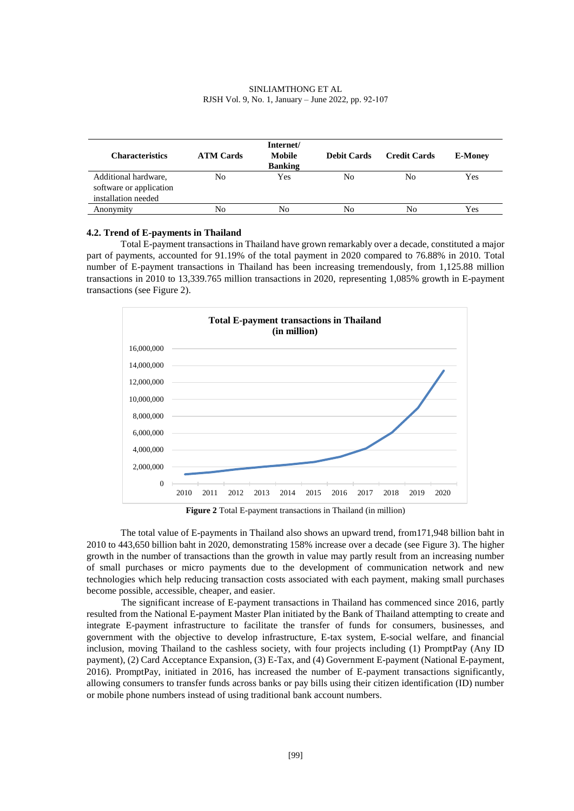| <b>Characteristics</b>                                                 | <b>ATM Cards</b> | Internet/<br>Mobile<br><b>Banking</b> | <b>Debit Cards</b> | <b>Credit Cards</b> | <b>E-Money</b> |
|------------------------------------------------------------------------|------------------|---------------------------------------|--------------------|---------------------|----------------|
| Additional hardware,<br>software or application<br>installation needed | No               | Yes                                   | No                 | No                  | Yes            |
| Anonymity                                                              | No               | No                                    | No                 | No                  | Yes            |

### **4.2. Trend of E-payments in Thailand**

Total E-payment transactions in Thailand have grown remarkably over a decade, constituted a major part of payments, accounted for 91.19% of the total payment in 2020 compared to 76.88% in 2010. Total number of E-payment transactions in Thailand has been increasing tremendously, from 1,125.88 million transactions in 2010 to 13,339.765 million transactions in 2020, representing 1,085% growth in E-payment transactions (see Figure 2).



**Figure 2** Total E-payment transactions in Thailand (in million)

The total value of E-payments in Thailand also shows an upward trend, from171,948 billion baht in 2010 to 443,650 billion baht in 2020, demonstrating 158% increase over a decade (see Figure 3). The higher growth in the number of transactions than the growth in value may partly result from an increasing number of small purchases or micro payments due to the development of communication network and new technologies which help reducing transaction costs associated with each payment, making small purchases become possible, accessible, cheaper, and easier.

The significant increase of E-payment transactions in Thailand has commenced since 2016, partly resulted from the National E-payment Master Plan initiated by the Bank of Thailand attempting to create and integrate E-payment infrastructure to facilitate the transfer of funds for consumers, businesses, and government with the objective to develop infrastructure, E-tax system, E-social welfare, and financial inclusion, moving Thailand to the cashless society, with four projects including (1) PromptPay (Any ID payment), (2) Card Acceptance Expansion, (3) E-Tax, and (4) Government E-payment (National E-payment, 2016). PromptPay, initiated in 2016, has increased the number of E-payment transactions significantly, allowing consumers to transfer funds across banks or pay bills using their citizen identification (ID) number or mobile phone numbers instead of using traditional bank account numbers.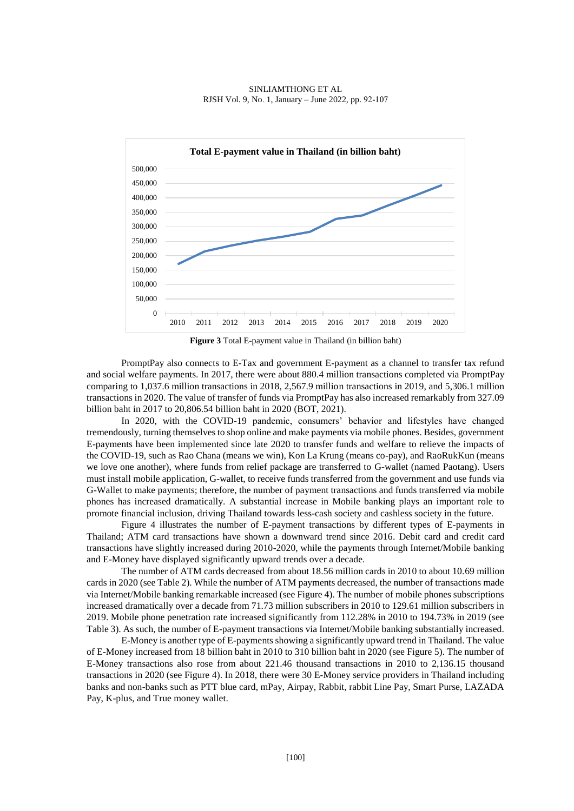

**Figure 3** Total E-payment value in Thailand (in billion baht)

PromptPay also connects to E-Tax and government E-payment as a channel to transfer tax refund and social welfare payments. In 2017, there were about 880.4 million transactions completed via PromptPay comparing to 1,037.6 million transactions in 2018, 2,567.9 million transactions in 2019, and 5,306.1 million transactions in 2020. The value of transfer of funds via PromptPay has also increased remarkably from 327.09 billion baht in 2017 to 20,806.54 billion baht in 2020 (BOT, 2021).

In 2020, with the COVID-19 pandemic, consumers' behavior and lifestyles have changed tremendously, turning themselves to shop online and make payments via mobile phones. Besides, government E-payments have been implemented since late 2020 to transfer funds and welfare to relieve the impacts of the COVID-19, such as Rao Chana (means we win), Kon La Krung (means co-pay), and RaoRukKun (means we love one another), where funds from relief package are transferred to G-wallet (named Paotang). Users must install mobile application, G-wallet, to receive funds transferred from the government and use funds via G-Wallet to make payments; therefore, the number of payment transactions and funds transferred via mobile phones has increased dramatically. A substantial increase in Mobile banking plays an important role to promote financial inclusion, driving Thailand towards less-cash society and cashless society in the future.

Figure 4 illustrates the number of E-payment transactions by different types of E-payments in Thailand; ATM card transactions have shown a downward trend since 2016. Debit card and credit card transactions have slightly increased during 2010-2020, while the payments through Internet/Mobile banking and E-Money have displayed significantly upward trends over a decade.

The number of ATM cards decreased from about 18.56 million cards in 2010 to about 10.69 million cards in 2020 (see Table 2). While the number of ATM payments decreased, the number of transactions made via Internet/Mobile banking remarkable increased (see Figure 4). The number of mobile phones subscriptions increased dramatically over a decade from 71.73 million subscribers in 2010 to 129.61 million subscribers in 2019. Mobile phone penetration rate increased significantly from 112.28% in 2010 to 194.73% in 2019 (see Table 3). As such, the number of E-payment transactions via Internet/Mobile banking substantially increased.

E-Money is another type of E-payments showing a significantly upward trend in Thailand. The value of E-Money increased from 18 billion baht in 2010 to 310 billion baht in 2020 (see Figure 5). The number of E-Money transactions also rose from about 221.46 thousand transactions in 2010 to 2,136.15 thousand transactions in 2020 (see Figure 4). In 2018, there were 30 E-Money service providers in Thailand including banks and non-banks such as PTT blue card, mPay, Airpay, Rabbit, rabbit Line Pay, Smart Purse, LAZADA Pay, K-plus, and True money wallet.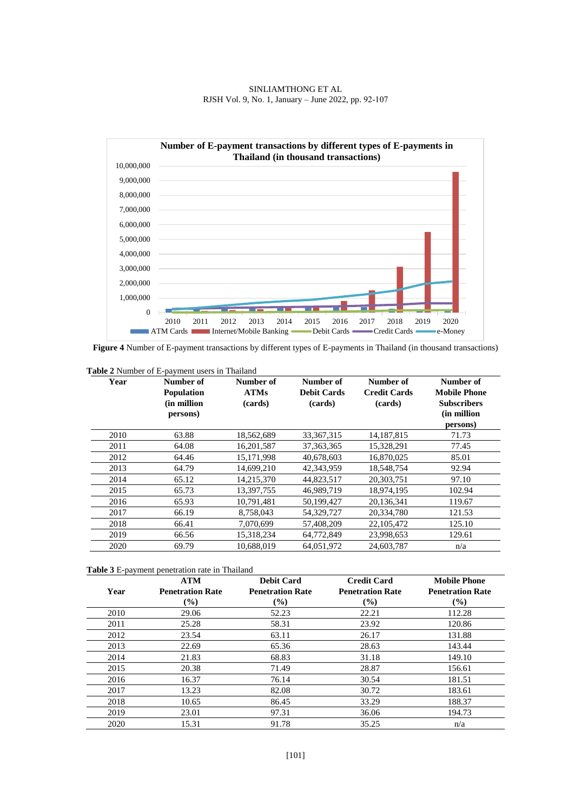



**Figure 4** Number of E-payment transactions by different types of E-payments in Thailand (in thousand transactions)

| <b>Table 2</b> Number of E-payment users in Thailand |                                                           |                                     |                                            |                                             |                                                                                   |  |  |
|------------------------------------------------------|-----------------------------------------------------------|-------------------------------------|--------------------------------------------|---------------------------------------------|-----------------------------------------------------------------------------------|--|--|
| Year                                                 | Number of<br><b>Population</b><br>(in million<br>persons) | Number of<br><b>ATMs</b><br>(cards) | Number of<br><b>Debit Cards</b><br>(cards) | Number of<br><b>Credit Cards</b><br>(cards) | Number of<br><b>Mobile Phone</b><br><b>Subscribers</b><br>(in million<br>persons) |  |  |
| 2010                                                 | 63.88                                                     | 18,562,689                          | 33, 367, 315                               | 14, 187, 815                                | 71.73                                                                             |  |  |
| 2011                                                 | 64.08                                                     | 16,201,587                          | 37, 363, 365                               | 15,328,291                                  | 77.45                                                                             |  |  |
| 2012                                                 | 64.46                                                     | 15,171,998                          | 40,678,603                                 | 16,870,025                                  | 85.01                                                                             |  |  |
| 2013                                                 | 64.79                                                     | 14,699,210                          | 42,343,959                                 | 18,548,754                                  | 92.94                                                                             |  |  |
| 2014                                                 | 65.12                                                     | 14,215,370                          | 44,823,517                                 | 20,303,751                                  | 97.10                                                                             |  |  |
| 2015                                                 | 65.73                                                     | 13.397.755                          | 46.989.719                                 | 18,974,195                                  | 102.94                                                                            |  |  |
| 2016                                                 | 65.93                                                     | 10.791.481                          | 50,199,427                                 | 20.136.341                                  | 119.67                                                                            |  |  |
| 2017                                                 | 66.19                                                     | 8,758,043                           | 54,329,727                                 | 20,334,780                                  | 121.53                                                                            |  |  |
| 2018                                                 | 66.41                                                     | 7,070,699                           | 57,408,209                                 | 22,105,472                                  | 125.10                                                                            |  |  |
| 2019                                                 | 66.56                                                     | 15,318,234                          | 64,772,849                                 | 23,998,653                                  | 129.61                                                                            |  |  |
| 2020                                                 | 69.79                                                     | 10,688,019                          | 64,051,972                                 | 24,603,787                                  | n/a                                                                               |  |  |

| <b>Table 3</b> E-payment penetration rate in Thailand |  |  |
|-------------------------------------------------------|--|--|

|      | <b>ATM</b>                   | <b>Debit Card</b>       | <b>Credit Card</b>      | <b>Mobile Phone</b>     |
|------|------------------------------|-------------------------|-------------------------|-------------------------|
| Year | <b>Penetration Rate</b>      | <b>Penetration Rate</b> | <b>Penetration Rate</b> | <b>Penetration Rate</b> |
|      | $\left( \frac{0}{0} \right)$ | $(\%)$                  | $(\%)$                  | (%)                     |
| 2010 | 29.06                        | 52.23                   | 22.21                   | 112.28                  |
| 2011 | 25.28                        | 58.31                   | 23.92                   | 120.86                  |
| 2012 | 23.54                        | 63.11                   | 26.17                   | 131.88                  |
| 2013 | 22.69                        | 65.36                   | 28.63                   | 143.44                  |
| 2014 | 21.83                        | 68.83                   | 31.18                   | 149.10                  |
| 2015 | 20.38                        | 71.49                   | 28.87                   | 156.61                  |
| 2016 | 16.37                        | 76.14                   | 30.54                   | 181.51                  |
| 2017 | 13.23                        | 82.08                   | 30.72                   | 183.61                  |
| 2018 | 10.65                        | 86.45                   | 33.29                   | 188.37                  |
| 2019 | 23.01                        | 97.31                   | 36.06                   | 194.73                  |
| 2020 | 15.31                        | 91.78                   | 35.25                   | n/a                     |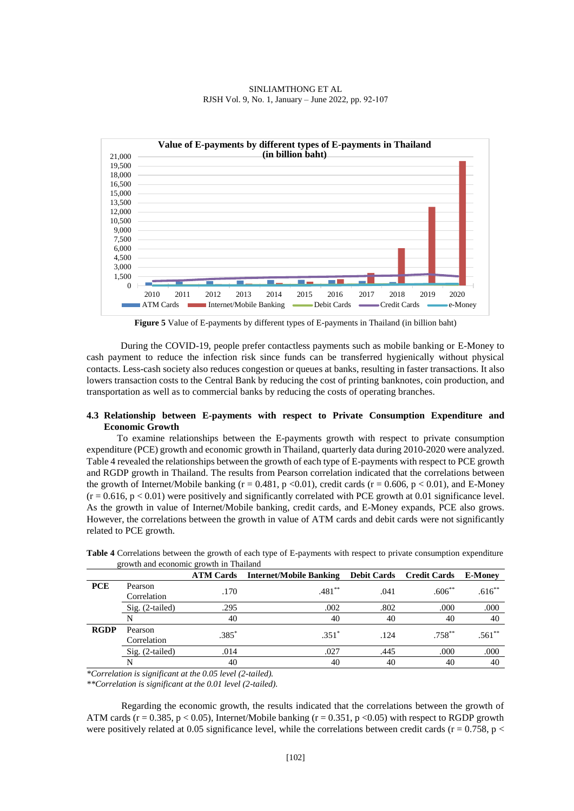



**Figure 5** Value of E-payments by different types of E-payments in Thailand (in billion baht)

During the COVID-19, people prefer contactless payments such as mobile banking or E-Money to cash payment to reduce the infection risk since funds can be transferred hygienically without physical contacts. Less-cash society also reduces congestion or queues at banks, resulting in faster transactions. It also lowers transaction costs to the Central Bank by reducing the cost of printing banknotes, coin production, and transportation as well as to commercial banks by reducing the costs of operating branches.

### **4.3 Relationship between E-payments with respect to Private Consumption Expenditure and Economic Growth**

To examine relationships between the E-payments growth with respect to private consumption expenditure (PCE) growth and economic growth in Thailand, quarterly data during 2010-2020 were analyzed. Table 4 revealed the relationships between the growth of each type of E-payments with respect to PCE growth and RGDP growth in Thailand. The results from Pearson correlation indicated that the correlations between the growth of Internet/Mobile banking ( $r = 0.481$ ,  $p < 0.01$ ), credit cards ( $r = 0.606$ ,  $p < 0.01$ ), and E-Money  $(r = 0.616, p < 0.01)$  were positively and significantly correlated with PCE growth at 0.01 significance level. As the growth in value of Internet/Mobile banking, credit cards, and E-Money expands, PCE also grows. However, the correlations between the growth in value of ATM cards and debit cards were not significantly related to PCE growth.

|             | $\epsilon$ owen and economic growth in Thanand |                  |                                |      |                                 |                |
|-------------|------------------------------------------------|------------------|--------------------------------|------|---------------------------------|----------------|
|             |                                                | <b>ATM Cards</b> | <b>Internet/Mobile Banking</b> |      | <b>Debit Cards</b> Credit Cards | <b>E-Money</b> |
| <b>PCE</b>  | Pearson                                        | .170             | $.481**$                       | .041 | $.606**$                        | $.616**$       |
|             | Correlation                                    |                  |                                |      |                                 |                |
|             | Sig. (2-tailed)                                | .295             | .002                           | .802 | .000                            | .000           |
|             | N                                              | 40               | 40                             | 40   | 40                              | 40             |
| <b>RGDP</b> | Pearson                                        | $.385*$          | $.351*$                        | .124 | $.758***$                       | $.561**$       |
|             | Correlation                                    |                  |                                |      |                                 |                |
|             | Sig. (2-tailed)                                | .014             | .027                           | .445 | .000                            | .000           |
|             | N                                              | 40               | 40                             | 40   | 40                              | 40             |

**Table 4** Correlations between the growth of each type of E-payments with respect to private consumption expenditure growth and economic growth in Thailand

*\*Correlation is significant at the 0.05 level (2-tailed).*

*\*\*Correlation is significant at the 0.01 level (2-tailed).*

Regarding the economic growth, the results indicated that the correlations between the growth of ATM cards ( $r = 0.385$ ,  $p < 0.05$ ), Internet/Mobile banking ( $r = 0.351$ ,  $p < 0.05$ ) with respect to RGDP growth were positively related at 0.05 significance level, while the correlations between credit cards ( $r = 0.758$ ,  $p <$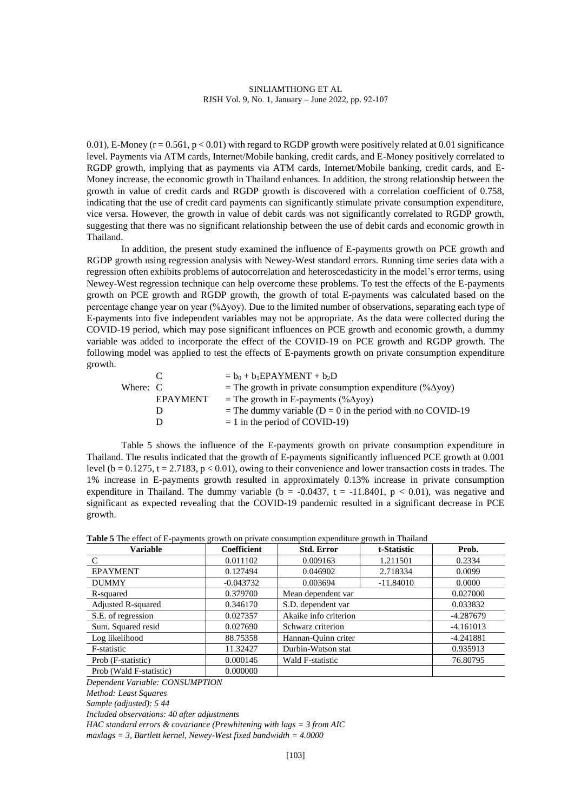0.01), E-Money ( $r = 0.561$ ,  $p < 0.01$ ) with regard to RGDP growth were positively related at 0.01 significance level. Payments via ATM cards, Internet/Mobile banking, credit cards, and E-Money positively correlated to RGDP growth, implying that as payments via ATM cards, Internet/Mobile banking, credit cards, and E-Money increase, the economic growth in Thailand enhances. In addition, the strong relationship between the growth in value of credit cards and RGDP growth is discovered with a correlation coefficient of 0.758, indicating that the use of credit card payments can significantly stimulate private consumption expenditure, vice versa. However, the growth in value of debit cards was not significantly correlated to RGDP growth, suggesting that there was no significant relationship between the use of debit cards and economic growth in Thailand.

In addition, the present study examined the influence of E-payments growth on PCE growth and RGDP growth using regression analysis with Newey-West standard errors. Running time series data with a regression often exhibits problems of autocorrelation and heteroscedasticity in the model's error terms, using Newey-West regression technique can help overcome these problems. To test the effects of the E-payments growth on PCE growth and RGDP growth, the growth of total E-payments was calculated based on the percentage change year on year (%∆yoy). Due to the limited number of observations, separating each type of E-payments into five independent variables may not be appropriate. As the data were collected during the COVID-19 period, which may pose significant influences on PCE growth and economic growth, a dummy variable was added to incorporate the effect of the COVID-19 on PCE growth and RGDP growth. The following model was applied to test the effects of E-payments growth on private consumption expenditure growth.

|          |                 | $= b_0 + b_1 EPAYMENT + b_2D$                                     |
|----------|-----------------|-------------------------------------------------------------------|
| Where: C |                 | = The growth in private consumption expenditure $(\% \Delta yoy)$ |
|          | <b>EPAYMENT</b> | = The growth in E-payments (% $\Delta$ yoy)                       |
|          |                 | = The dummy variable ( $D = 0$ in the period with no COVID-19     |
|          |                 | $= 1$ in the period of COVID-19)                                  |

Table 5 shows the influence of the E-payments growth on private consumption expenditure in Thailand. The results indicated that the growth of E-payments significantly influenced PCE growth at 0.001 level ( $b = 0.1275$ ,  $t = 2.7183$ ,  $p < 0.01$ ), owing to their convenience and lower transaction costs in trades. The 1% increase in E-payments growth resulted in approximately 0.13% increase in private consumption expenditure in Thailand. The dummy variable ( $b = -0.0437$ ,  $t = -11.8401$ ,  $p < 0.01$ ), was negative and significant as expected revealing that the COVID-19 pandemic resulted in a significant decrease in PCE growth.

| <b>Table 5</b> The effect of E-payments growth on private consumption expenditure growth in Thailand |  |  |
|------------------------------------------------------------------------------------------------------|--|--|
|                                                                                                      |  |  |

| <b>Variable</b>           | <b>Coefficient</b> | <b>Std. Error</b>     | t-Statistic | Prob.    |  |
|---------------------------|--------------------|-----------------------|-------------|----------|--|
| C                         | 0.011102           | 0.009163              | 1.211501    | 0.2334   |  |
| <b>EPAYMENT</b>           | 0.127494           | 0.046902              | 2.718334    | 0.0099   |  |
| <b>DUMMY</b>              | $-0.043732$        | 0.003694              | $-11.84010$ | 0.0000   |  |
| R-squared                 | 0.379700           | Mean dependent var    |             | 0.027000 |  |
| <b>Adjusted R-squared</b> | 0.346170           | S.D. dependent var    |             |          |  |
| S.E. of regression        | 0.027357           | Akaike info criterion |             |          |  |
| Sum. Squared resid        | 0.027690           | Schwarz criterion     | $-4.161013$ |          |  |
| Log likelihood            | 88.75358           | Hannan-Quinn criter   |             |          |  |
| F-statistic               | 11.32427           | Durbin-Watson stat    | 0.935913    |          |  |
| Prob (F-statistic)        | 0.000146           | Wald F-statistic      | 76.80795    |          |  |
| Prob (Wald F-statistic)   | 0.000000           |                       |             |          |  |

*Dependent Variable: CONSUMPTION*

*Method: Least Squares*

*Sample (adjusted): 5 44*

*Included observations: 40 after adjustments*

*HAC standard errors & covariance (Prewhitening with lags = 3 from AIC maxlags = 3, Bartlett kernel, Newey-West fixed bandwidth = 4.0000*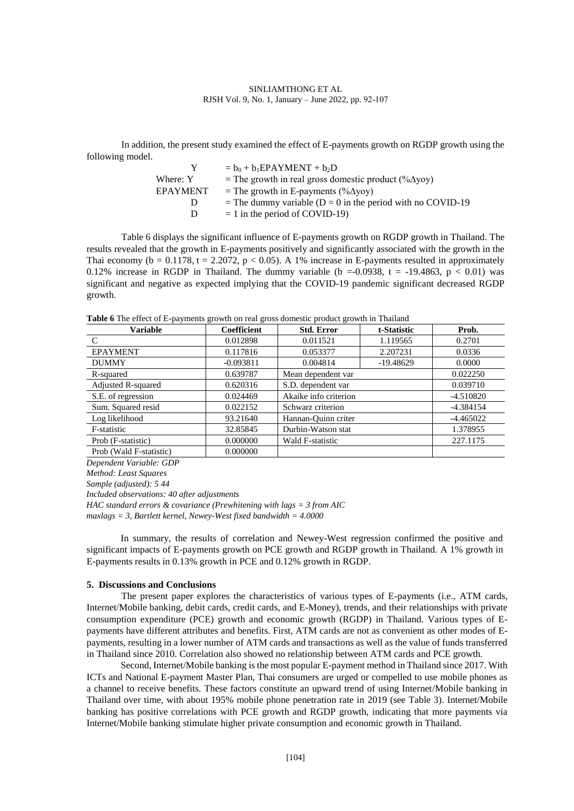In addition, the present study examined the effect of E-payments growth on RGDP growth using the following model.

|                 | $= b_0 + b_1 EPAYMENT + b_2D$                                 |
|-----------------|---------------------------------------------------------------|
| Where: Y        | = The growth in real gross domestic product $(\% \Delta yoy)$ |
| <b>EPAYMENT</b> | = The growth in E-payments (% $\Delta$ yoy)                   |
|                 | = The dummy variable ( $D = 0$ in the period with no COVID-19 |
|                 | $= 1$ in the period of COVID-19)                              |
|                 |                                                               |

Table 6 displays the significant influence of E-payments growth on RGDP growth in Thailand. The results revealed that the growth in E-payments positively and significantly associated with the growth in the Thai economy ( $b = 0.1178$ ,  $t = 2.2072$ ,  $p < 0.05$ ). A 1% increase in E-payments resulted in approximately 0.12% increase in RGDP in Thailand. The dummy variable (b = -0.0938, t = -19.4863, p < 0.01) was significant and negative as expected implying that the COVID-19 pandemic significant decreased RGDP growth.

**Table 6** The effect of E-payments growth on real gross domestic product growth in Thailand

| <b>Variable</b>         | <b>Coefficient</b> | <b>Std. Error</b>     | t-Statistic | Prob.       |
|-------------------------|--------------------|-----------------------|-------------|-------------|
| C                       | 0.012898           | 0.011521              | 1.119565    | 0.2701      |
| <b>EPAYMENT</b>         | 0.117816           | 0.053377              | 2.207231    | 0.0336      |
| <b>DUMMY</b>            | $-0.093811$        | 0.004814              | $-19.48629$ | 0.0000      |
| R-squared               | 0.639787           | Mean dependent var    |             | 0.022250    |
| Adjusted R-squared      | 0.620316           | S.D. dependent var    |             | 0.039710    |
| S.E. of regression      | 0.024469           | Akaike info criterion |             | $-4.510820$ |
| Sum. Squared resid      | 0.022152           | Schwarz criterion     |             | $-4.384154$ |
| Log likelihood          | 93.21640           | Hannan-Quinn criter   |             | $-4.465022$ |
| F-statistic             | 32.85845           | Durbin-Watson stat    |             | 1.378955    |
| Prob (F-statistic)      | 0.000000           | Wald F-statistic      | 227.1175    |             |
| Prob (Wald F-statistic) | 0.000000           |                       |             |             |

*Dependent Variable: GDP*

*Method: Least Squares*

*Sample (adjusted): 5 44*

*Included observations: 40 after adjustments*

*HAC standard errors & covariance (Prewhitening with lags = 3 from AIC maxlags = 3, Bartlett kernel, Newey-West fixed bandwidth = 4.0000*

In summary, the results of correlation and Newey-West regression confirmed the positive and significant impacts of E-payments growth on PCE growth and RGDP growth in Thailand. A 1% growth in E-payments results in 0.13% growth in PCE and 0.12% growth in RGDP.

### **5. Discussions and Conclusions**

The present paper explores the characteristics of various types of E-payments (i.e., ATM cards, Internet/Mobile banking, debit cards, credit cards, and E-Money), trends, and their relationships with private consumption expenditure (PCE) growth and economic growth (RGDP) in Thailand. Various types of Epayments have different attributes and benefits. First, ATM cards are not as convenient as other modes of Epayments, resulting in a lower number of ATM cards and transactions as well as the value of funds transferred in Thailand since 2010. Correlation also showed no relationship between ATM cards and PCE growth.

Second, Internet/Mobile banking isthe most popular E-payment method in Thailand since 2017. With ICTs and National E-payment Master Plan, Thai consumers are urged or compelled to use mobile phones as a channel to receive benefits. These factors constitute an upward trend of using Internet/Mobile banking in Thailand over time, with about 195% mobile phone penetration rate in 2019 (see Table 3). Internet/Mobile banking has positive correlations with PCE growth and RGDP growth, indicating that more payments via Internet/Mobile banking stimulate higher private consumption and economic growth in Thailand.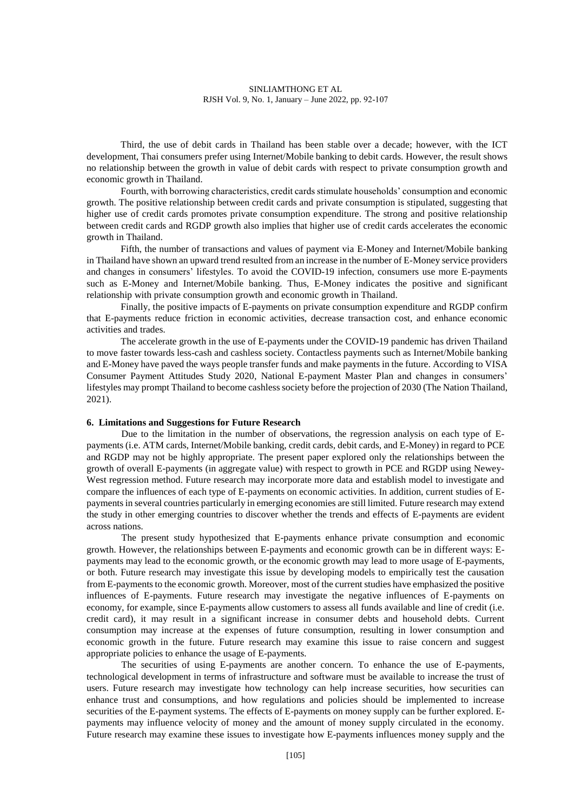Third, the use of debit cards in Thailand has been stable over a decade; however, with the ICT development, Thai consumers prefer using Internet/Mobile banking to debit cards. However, the result shows no relationship between the growth in value of debit cards with respect to private consumption growth and economic growth in Thailand.

Fourth, with borrowing characteristics, credit cards stimulate households' consumption and economic growth. The positive relationship between credit cards and private consumption is stipulated, suggesting that higher use of credit cards promotes private consumption expenditure. The strong and positive relationship between credit cards and RGDP growth also implies that higher use of credit cards accelerates the economic growth in Thailand.

Fifth, the number of transactions and values of payment via E-Money and Internet/Mobile banking in Thailand have shown an upward trend resulted from an increase in the number of E-Money service providers and changes in consumers' lifestyles. To avoid the COVID-19 infection, consumers use more E-payments such as E-Money and Internet/Mobile banking. Thus, E-Money indicates the positive and significant relationship with private consumption growth and economic growth in Thailand.

Finally, the positive impacts of E-payments on private consumption expenditure and RGDP confirm that E-payments reduce friction in economic activities, decrease transaction cost, and enhance economic activities and trades.

The accelerate growth in the use of E-payments under the COVID-19 pandemic has driven Thailand to move faster towards less-cash and cashless society. Contactless payments such as Internet/Mobile banking and E-Money have paved the ways people transfer funds and make payments in the future. According to VISA Consumer Payment Attitudes Study 2020, National E-payment Master Plan and changes in consumers' lifestyles may prompt Thailand to become cashless society before the projection of 2030 (The Nation Thailand, 2021).

## **6. Limitations and Suggestions for Future Research**

Due to the limitation in the number of observations, the regression analysis on each type of Epayments (i.e. ATM cards, Internet/Mobile banking, credit cards, debit cards, and E-Money) in regard to PCE and RGDP may not be highly appropriate. The present paper explored only the relationships between the growth of overall E-payments (in aggregate value) with respect to growth in PCE and RGDP using Newey-West regression method. Future research may incorporate more data and establish model to investigate and compare the influences of each type of E-payments on economic activities. In addition, current studies of Epayments in several countries particularly in emerging economies are still limited. Future research may extend the study in other emerging countries to discover whether the trends and effects of E-payments are evident across nations.

The present study hypothesized that E-payments enhance private consumption and economic growth. However, the relationships between E-payments and economic growth can be in different ways: Epayments may lead to the economic growth, or the economic growth may lead to more usage of E-payments, or both. Future research may investigate this issue by developing models to empirically test the causation from E-payments to the economic growth. Moreover, most of the current studies have emphasized the positive influences of E-payments. Future research may investigate the negative influences of E-payments on economy, for example, since E-payments allow customers to assess all funds available and line of credit (i.e. credit card), it may result in a significant increase in consumer debts and household debts. Current consumption may increase at the expenses of future consumption, resulting in lower consumption and economic growth in the future. Future research may examine this issue to raise concern and suggest appropriate policies to enhance the usage of E-payments.

The securities of using E-payments are another concern. To enhance the use of E-payments, technological development in terms of infrastructure and software must be available to increase the trust of users. Future research may investigate how technology can help increase securities, how securities can enhance trust and consumptions, and how regulations and policies should be implemented to increase securities of the E-payment systems. The effects of E-payments on money supply can be further explored. Epayments may influence velocity of money and the amount of money supply circulated in the economy. Future research may examine these issues to investigate how E-payments influences money supply and the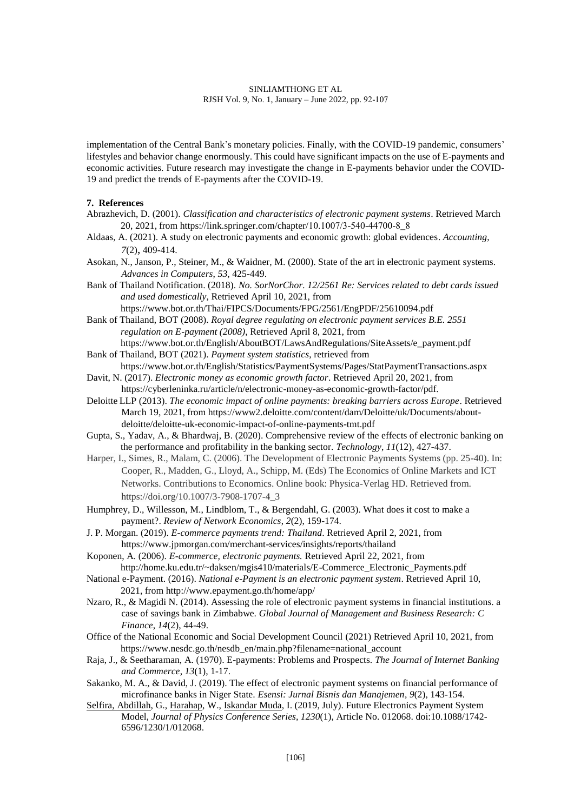implementation of the Central Bank's monetary policies. Finally, with the COVID-19 pandemic, consumers' lifestyles and behavior change enormously. This could have significant impacts on the use of E-payments and economic activities. Future research may investigate the change in E-payments behavior under the COVID-19 and predict the trends of E-payments after the COVID-19.

### **7. References**

- Abrazhevich, D. (2001). *Classification and characteristics of electronic payment systems*. Retrieved March 20, 2021, from https://link.springer.com/chapter/10.1007/3-540-44700-8\_8
- Aldaas, A. (2021). A study on electronic payments and economic growth: global evidences. *Accounting*, *7*(2), 409-414.
- Asokan, N., Janson, P., Steiner, M., & Waidner, M. (2000). State of the art in electronic payment systems. *Advances in Computers*, *53*, 425-449.
- Bank of Thailand Notification. (2018). *No. SorNorChor. 12/2561 Re: Services related to debt cards issued and used domestically*, Retrieved April 10, 2021, from <https://www.bot.or.th/Thai/FIPCS/Documents/FPG/2561/EngPDF/25610094.pdf>

Bank of Thailand, BOT (2008). *Royal degree regulating on electronic payment services B.E. 2551 regulation on E-payment (2008)*, Retrieved April 8, 2021, from [https://www.bot.or.th/English/AboutBOT/LawsAndRegulations/SiteAssets/e\\_payment.pdf](https://www.bot.or.th/English/AboutBOT/LawsAndRegulations/SiteAssets/e_payment.pdf)

- Bank of Thailand, BOT (2021). *Payment system statistics*, retrieved from <https://www.bot.or.th/English/Statistics/PaymentSystems/Pages/StatPaymentTransactions.aspx>
- Davit, N. (2017). *Electronic money as economic growth factor*. Retrieved April 20, 2021, from https://cyberleninka.ru/article/n/electronic-money-as-economic-growth-factor/pdf.
- Deloitte LLP (2013). *The economic impact of online payments: breaking barriers across Europe*. Retrieved March 19, 2021, from https://www2.deloitte.com/content/dam/Deloitte/uk/Documents/aboutdeloitte/deloitte-uk-economic-impact-of-online-payments-tmt.pdf
- Gupta, S., Yadav, A., & Bhardwaj, B. (2020). Comprehensive review of the effects of electronic banking on the performance and profitability in the banking sector. *Technology*, *11*(12), 427-437.
- Harper, I., Simes, R., Malam, C. (2006). The Development of Electronic Payments Systems (pp. 25-40). In: Cooper, R., Madden, G., Lloyd, A., Schipp, M. (Eds) The Economics of Online Markets and ICT Networks. Contributions to Economics. Online book: Physica-Verlag HD. Retrieved from. https://doi.org/10.1007/3-7908-1707-4\_3
- Humphrey, D., Willesson, M., Lindblom, T., & Bergendahl, G. (2003). What does it cost to make a payment?. *Review of Network Economics*, *2*(2), 159-174.
- J. P. Morgan. (2019). *E-commerce payments trend: Thailand*. Retrieved April 2, 2021, from https://www.jpmorgan.com/merchant-services/insights/reports/thailand
- Koponen, A. (2006). *E-commerce, electronic payments.* Retrieved April 22, 2021, from http://home.ku.edu.tr/~daksen/mgis410/materials/E-Commerce\_Electronic\_Payments.pdf
- National e-Payment. (2016). *National e-Payment is an electronic payment system*. Retrieved April 10, 2021, from<http://www.epayment.go.th/home/app/>
- Nzaro, R., & Magidi N. (2014). Assessing the role of electronic payment systems in financial institutions. a case of savings bank in Zimbabwe. *Global Journal of Management and Business Research: C Finance*, *14*(2), 44-49.
- Office of the National Economic and Social Development Council (2021) Retrieved April 10, 2021, from [https://www.nesdc.go.th/nesdb\\_en/main.php?filename=national\\_account](https://www.nesdc.go.th/nesdb_en/main.php?filename=national_account)
- Raja, J., & Seetharaman, A. (1970). E-payments: Problems and Prospects. *The Journal of Internet Banking and Commerce*, *13*(1), 1-17.
- Sakanko, M. A., & David, J. (2019). The effect of electronic payment systems on financial performance of microfinance banks in Niger State. *Esensi: Jurnal Bisnis dan Manajemen*, *9*(2), 143-154.
- Selfira, [Abdillah,](https://www.researchgate.net/scientific-contributions/Gabriel-Abdillah-2162260889) G., [Harahap,](https://www.researchgate.net/scientific-contributions/Wintari-Harahap-2162265204) W., [Iskandar](https://www.researchgate.net/profile/Iskandar-Muda) Muda, I. (2019, July). Future Electronics Payment System Model, *Journal of Physics Conference Series, 1230*(1), Article No. 012068. do[i:10.1088/1742-](http://dx.doi.org/10.1088/1742-6596/1230/1/012068) [6596/1230/1/012068.](http://dx.doi.org/10.1088/1742-6596/1230/1/012068)